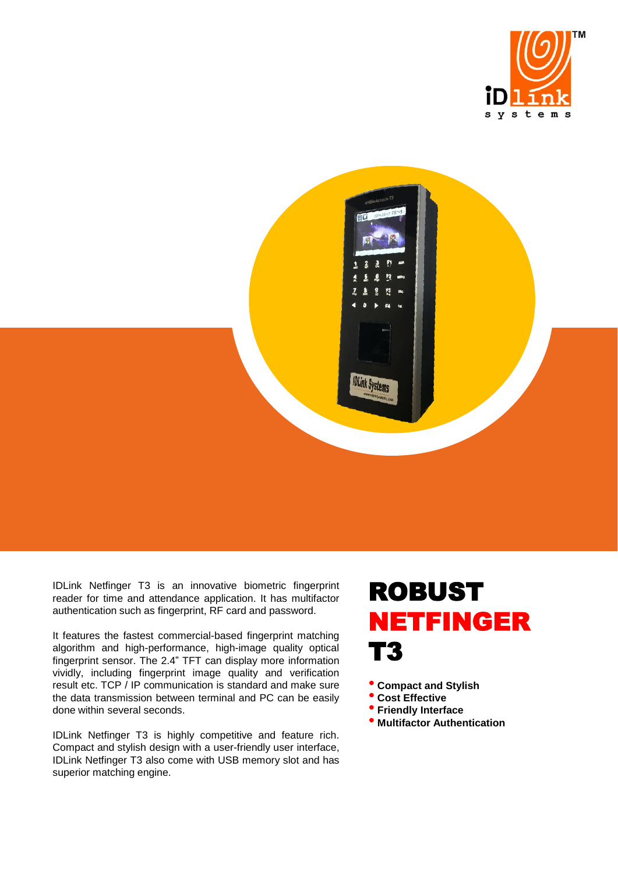



IDLink Netfinger T3 is an innovative biometric fingerprint reader for time and attendance application. It has multifactor authentication such as fingerprint, RF card and password.

It features the fastest commercial-based fingerprint matching algorithm and high-performance, high-image quality optical fingerprint sensor. The 2.4" TFT can display more information vividly, including fingerprint image quality and verification result etc. TCP / IP communication is standard and make sure the data transmission between terminal and PC can be easily done within several seconds.

IDLink Netfinger T3 is highly competitive and feature rich. Compact and stylish design with a user-friendly user interface, IDLink Netfinger T3 also come with USB memory slot and has superior matching engine.

## ROBUST NETFINGER T3

• **Compact and Stylish** 

- **Cost Effective**
- **Friendly Interface**
- **Multifactor Authentication**